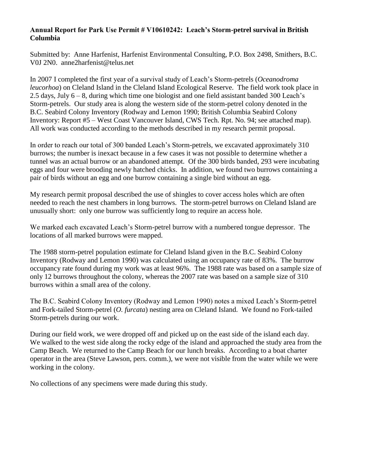## **Annual Report for Park Use Permit # V10610242: Leach's Storm-petrel survival in British Columbia**

Submitted by: Anne Harfenist, Harfenist Environmental Consulting, P.O. Box 2498, Smithers, B.C. V0J 2N0. anne2harfenist@telus.net

In 2007 I completed the first year of a survival study of Leach's Storm-petrels (*Oceanodroma leucorhoa*) on Cleland Island in the Cleland Island Ecological Reserve. The field work took place in 2.5 days, July 6 – 8, during which time one biologist and one field assistant banded 300 Leach's Storm-petrels. Our study area is along the western side of the storm-petrel colony denoted in the B.C. Seabird Colony Inventory (Rodway and Lemon 1990; British Columbia Seabird Colony Inventory: Report #5 – West Coast Vancouver Island, CWS Tech. Rpt. No. 94; see attached map). All work was conducted according to the methods described in my research permit proposal.

In order to reach our total of 300 banded Leach's Storm-petrels, we excavated approximately 310 burrows; the number is inexact because in a few cases it was not possible to determine whether a tunnel was an actual burrow or an abandoned attempt. Of the 300 birds banded, 293 were incubating eggs and four were brooding newly hatched chicks. In addition, we found two burrows containing a pair of birds without an egg and one burrow containing a single bird without an egg.

My research permit proposal described the use of shingles to cover access holes which are often needed to reach the nest chambers in long burrows. The storm-petrel burrows on Cleland Island are unusually short: only one burrow was sufficiently long to require an access hole.

We marked each excavated Leach's Storm-petrel burrow with a numbered tongue depressor. The locations of all marked burrows were mapped.

The 1988 storm-petrel population estimate for Cleland Island given in the B.C. Seabird Colony Inventory (Rodway and Lemon 1990) was calculated using an occupancy rate of 83%. The burrow occupancy rate found during my work was at least 96%. The 1988 rate was based on a sample size of only 12 burrows throughout the colony, whereas the 2007 rate was based on a sample size of 310 burrows within a small area of the colony.

The B.C. Seabird Colony Inventory (Rodway and Lemon 1990) notes a mixed Leach's Storm-petrel and Fork-tailed Storm-petrel (*O. furcata*) nesting area on Cleland Island. We found no Fork-tailed Storm-petrels during our work.

During our field work, we were dropped off and picked up on the east side of the island each day. We walked to the west side along the rocky edge of the island and approached the study area from the Camp Beach. We returned to the Camp Beach for our lunch breaks. According to a boat charter operator in the area (Steve Lawson, pers. comm.), we were not visible from the water while we were working in the colony.

No collections of any specimens were made during this study.